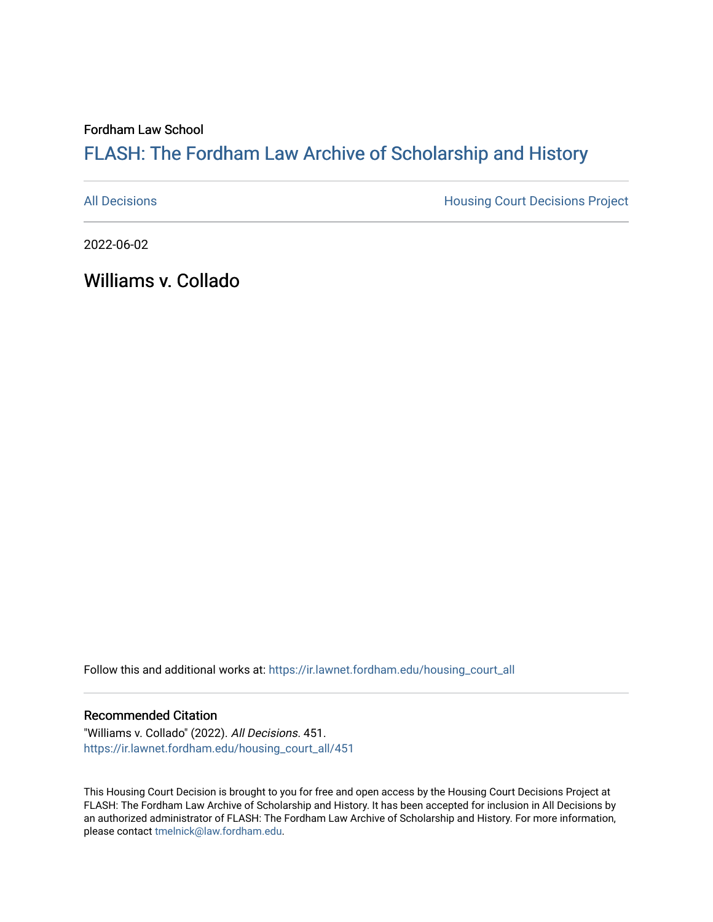Fordham Law School

## FLASH: The For[dham Law Archive of Scholarship and Hist](https://ir.lawnet.fordham.edu/)ory

[All Decisions](https://ir.lawnet.fordham.edu/housing_court_all) **All Decisions All Decisions** Project

2022-06-02

Williams v. Collado

Follow this and additional works at: [https://ir.lawnet.fordham.edu/housing\\_court\\_all](https://ir.lawnet.fordham.edu/housing_court_all?utm_source=ir.lawnet.fordham.edu%2Fhousing_court_all%2F451&utm_medium=PDF&utm_campaign=PDFCoverPages)

## Recommended Citation

"Williams v. Collado" (2022). All Decisions. 451. [https://ir.lawnet.fordham.edu/housing\\_court\\_all/451](https://ir.lawnet.fordham.edu/housing_court_all/451?utm_source=ir.lawnet.fordham.edu%2Fhousing_court_all%2F451&utm_medium=PDF&utm_campaign=PDFCoverPages)

This Housing Court Decision is brought to you for free and open access by the Housing Court Decisions Project at FLASH: The Fordham Law Archive of Scholarship and History. It has been accepted for inclusion in All Decisions by an authorized administrator of FLASH: The Fordham Law Archive of Scholarship and History. For more information, please contact [tmelnick@law.fordham.edu](mailto:tmelnick@law.fordham.edu).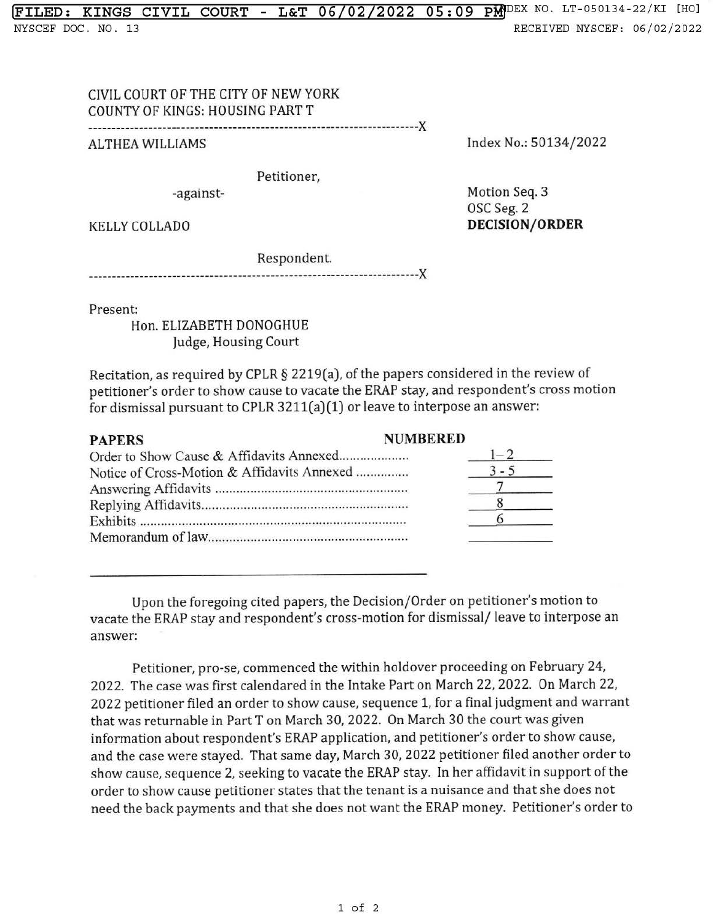**!FILED: KINGS CIVIL COURT - L&T 06/02/2022 05:** 09 pMJDEX NO. LT-050134-22/KI [HO] NYSCEF DOC . NO. 13 RECEIVED NYSCEF: 06/02/2022

## CIVIL COURT OF THE CITY OF NEW YORK COUNTY OF KINGS: HOUSING PART T

-----------------------------------------------------------------------)(

AL THEA WILLIAMS

Index No.: 50134/2022

Petitioner,

-against-

Motion Seq. 3 OSC Seg. 2 **DECISION/ ORDER** 

KELLY COLLADO

Respondent.

-----------------------------------------------------------------------)(

Present:

Hon. ELIZABETH DONOGHUE Judge, Housing Court

Recitation, as required by CPLR § 2219(a), of the papers considered in the review of petitioner's order to show cause to vacate the ERAP stay, and respondent's cross motion for dismissal pursuant to CPLR 3211(a)(1) or leave to interpose an answer:

| <b>PAPERS</b>                               | <b>NUMBERED</b> |
|---------------------------------------------|-----------------|
|                                             |                 |
| Notice of Cross-Motion & Affidavits Annexed |                 |
|                                             |                 |
|                                             |                 |
|                                             |                 |
|                                             |                 |

Upon the foregoing cited papers, the Decision/Order on petitioner's motion to vacate the ERAP stay and respondent's cross-motion for dismissal/ leave to interpose an answer:

Petitioner, pro-se, commenced the within holdover proceeding on February 24, 2022. The case was first calendared in the Intake Part on March 22, 2022. On March 22, 2022 petitioner filed an order to show cause, sequence 1, for a final judgment and warrant that was returnable in Part T on March 30, 2022. On March 30 the court was given information about respondent's ERAP application, and petitioner's order to show cause, and the case were stayed. That same day, March 30, 2022 petitioner filed another order to show cause, sequence 2, seeking to vacate the ERAP stay. In her affidavit in support of the order to show cause petitioner states that the tenant is a nuisance and that she does not need the back payments and that she does not want the ERAP money. Petitioner's order to